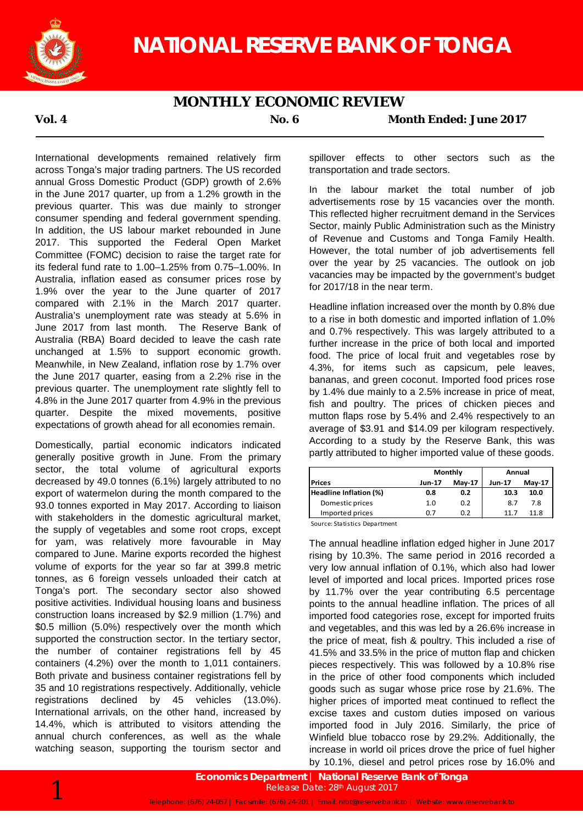

## **MONTHLY ECONOMIC REVIEW**

### **Vol. 4 No. 6 Month Ended: June 2017**

International developments remained relatively firm across Tonga's major trading partners. The US recorded annual Gross Domestic Product (GDP) growth of 2.6% in the June 2017 quarter, up from a 1.2% growth in the previous quarter. This was due mainly to stronger consumer spending and federal government spending. In addition, the US labour market rebounded in June 2017. This supported the Federal Open Market Committee (FOMC) decision to raise the target rate for its federal fund rate to 1.00–1.25% from 0.75–1.00%. In Australia, inflation eased as consumer prices rose by 1.9% over the year to the June quarter of 2017 compared with 2.1% in the March 2017 quarter. Australia's unemployment rate was steady at 5.6% in June 2017 from last month. The Reserve Bank of Australia (RBA) Board decided to leave the cash rate unchanged at 1.5% to support economic growth. Meanwhile, in New Zealand, inflation rose by 1.7% over the June 2017 quarter, easing from a 2.2% rise in the previous quarter. The unemployment rate slightly fell to 4.8% in the June 2017 quarter from 4.9% in the previous quarter. Despite the mixed movements, positive expectations of growth ahead for all economies remain.

Domestically, partial economic indicators indicated generally positive growth in June. From the primary sector, the total volume of agricultural exports decreased by 49.0 tonnes (6.1%) largely attributed to no export of watermelon during the month compared to the 93.0 tonnes exported in May 2017. According to liaison with stakeholders in the domestic agricultural market, the supply of vegetables and some root crops, except for yam, was relatively more favourable in May compared to June. Marine exports recorded the highest volume of exports for the year so far at 399.8 metric tonnes, as 6 foreign vessels unloaded their catch at Tonga's port. The secondary sector also showed positive activities. Individual housing loans and business construction loans increased by \$2.9 million (1.7%) and \$0.5 million (5.0%) respectively over the month which supported the construction sector. In the tertiary sector, the number of container registrations fell by 45 containers (4.2%) over the month to 1,011 containers. Both private and business container registrations fell by 35 and 10 registrations respectively. Additionally, vehicle registrations declined by 45 vehicles (13.0%). International arrivals, on the other hand, increased by 14.4%, which is attributed to visitors attending the annual church conferences, as well as the whale watching season, supporting the tourism sector and

spillover effects to other sectors such as the transportation and trade sectors.

In the labour market the total number of job advertisements rose by 15 vacancies over the month. This reflected higher recruitment demand in the Services Sector, mainly Public Administration such as the Ministry of Revenue and Customs and Tonga Family Health. However, the total number of job advertisements fell over the year by 25 vacancies. The outlook on job vacancies may be impacted by the government's budget for 2017/18 in the near term.

Headline inflation increased over the month by 0.8% due to a rise in both domestic and imported inflation of 1.0% and 0.7% respectively. This was largely attributed to a further increase in the price of both local and imported food. The price of local fruit and vegetables rose by 4.3%, for items such as capsicum, pele leaves, bananas, and green coconut. Imported food prices rose by 1.4% due mainly to a 2.5% increase in price of meat, fish and poultry. The prices of chicken pieces and mutton flaps rose by 5.4% and 2.4% respectively to an average of \$3.91 and \$14.09 per kilogram respectively. According to a study by the Reserve Bank, this was partly attributed to higher imported value of these goods.

|                        |               | Monthly       | Annual |               |  |
|------------------------|---------------|---------------|--------|---------------|--|
| <b>Prices</b>          | <b>Jun-17</b> | <b>May-17</b> |        | <b>May-17</b> |  |
| Headline Inflation (%) | 0.8           | 0.2           | 10.3   | 10.0          |  |
| Domestic prices        | 1.0           | 0.2           | 8.7    | 7.8           |  |
| Imported prices        | 0.7           | 0.2           | 11.7   | 11.8          |  |

Source: Statistics Department

The annual headline inflation edged higher in June 2017 rising by 10.3%. The same period in 2016 recorded a very low annual inflation of 0.1%, which also had lower level of imported and local prices. Imported prices rose by 11.7% over the year contributing 6.5 percentage points to the annual headline inflation. The prices of all imported food categories rose, except for imported fruits and vegetables, and this was led by a 26.6% increase in the price of meat, fish & poultry. This included a rise of 41.5% and 33.5% in the price of mutton flap and chicken pieces respectively. This was followed by a 10.8% rise in the price of other food components which included goods such as sugar whose price rose by 21.6%. The higher prices of imported meat continued to reflect the excise taxes and custom duties imposed on various imported food in July 2016. Similarly, the price of Winfield blue tobacco rose by 29.2%. Additionally, the increase in world oil prices drove the price of fuel higher by 10.1%, diesel and petrol prices rose by 16.0% and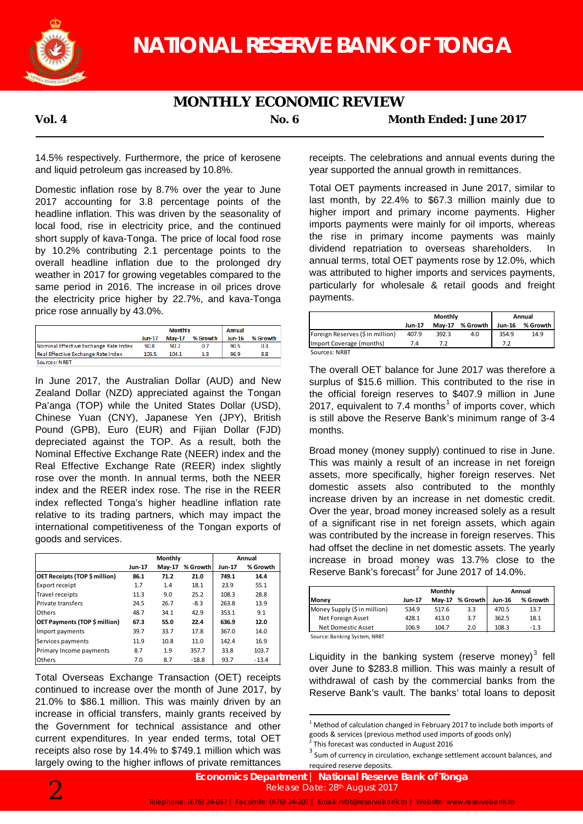

## **MONTHLY ECONOMIC REVIEW**

**Vol. 4 No. 6 Month Ended: June 2017**

14.5% respectively. Furthermore, the price of kerosene and liquid petroleum gas increased by 10.8%.

Domestic inflation rose by 8.7% over the year to June 2017 accounting for 3.8 percentage points of the headline inflation. This was driven by the seasonality of local food, rise in electricity price, and the continued short supply of kava-Tonga. The price of local food rose by 10.2% contributing 2.1 percentage points to the overall headline inflation due to the prolonged dry weather in 2017 for growing vegetables compared to the same period in 2016. The increase in oil prices drove the electricity price higher by 22.7%, and kava-Tonga price rose annually by 43.0%.

|                                       | <b>Monthly</b> |               |          | Annual        |          |  |
|---------------------------------------|----------------|---------------|----------|---------------|----------|--|
|                                       | $Jun-17$       | <b>May-17</b> | % Growth | <b>Jun-16</b> | % Growth |  |
| Nominal Effective Exchange Rate Index | 90.8           | 90.2          | 0.7      | 90.5          | 0.3      |  |
| Real Effective Exchange Rate Index    | 105.5          | 104.1         | 13       | 96.9          | 8.8      |  |
| Sources: NRBT                         |                |               |          |               |          |  |

In June 2017, the Australian Dollar (AUD) and New Zealand Dollar (NZD) appreciated against the Tongan Pa'anga (TOP) while the United States Dollar (USD), Chinese Yuan (CNY), Japanese Yen (JPY), British Pound (GPB), Euro (EUR) and Fijian Dollar (FJD) depreciated against the TOP. As a result, both the Nominal Effective Exchange Rate (NEER) index and the Real Effective Exchange Rate (REER) index slightly rose over the month. In annual terms, both the NEER index and the REER index rose. The rise in the REER index reflected Tonga's higher headline inflation rate relative to its trading partners, which may impact the international competitiveness of the Tongan exports of goods and services.

|                               | Monthly       |        |          | Annual        |          |
|-------------------------------|---------------|--------|----------|---------------|----------|
|                               | <b>Jun-17</b> | May-17 | % Growth | <b>Jun-17</b> | % Growth |
| OET Receipts (TOP \$ million) | 86.1          | 71.2   | 21.0     | 749.1         | 14.4     |
| Export receipt                | 1.7           | 1.4    | 18.1     | 23.9          | 55.1     |
| Travel receipts               | 11.3          | 9.0    | 25.2     | 108.3         | 28.8     |
| Private transfers             | 24.5          | 26.7   | $-8.3$   | 263.8         | 13.9     |
| <b>Others</b>                 | 48.7          | 34.1   | 42.9     | 353.1         | 9.1      |
| OET Payments (TOP \$ million) | 67.3          | 55.0   | 22.4     | 636.9         | 12.0     |
| Import payments               | 39.7          | 33.7   | 17.8     | 367.0         | 14.0     |
| Services payments             | 11.9          | 10.8   | 11.0     | 142.4         | 16.9     |
| Primary Income payments       | 8.7           | 1.9    | 357.7    | 33.8          | 103.7    |
| <b>Others</b>                 | 7.0           | 8.7    | $-18.8$  | 93.7          | $-13.4$  |

Total Overseas Exchange Transaction (OET) receipts continued to increase over the month of June 2017, by 21.0% to \$86.1 million. This was mainly driven by an increase in official transfers, mainly grants received by the Government for technical assistance and other current expenditures. In year ended terms, total OET receipts also rose by 14.4% to \$749.1 million which was largely owing to the higher inflows of private remittances

receipts. The celebrations and annual events during the year supported the annual growth in remittances.

Total OET payments increased in June 2017, similar to last month, by 22.4% to \$67.3 million mainly due to higher import and primary income payments. Higher imports payments were mainly for oil imports, whereas the rise in primary income payments was mainly dividend repatriation to overseas shareholders. In annual terms, total OET payments rose by 12.0%, which was attributed to higher imports and services payments, particularly for wholesale & retail goods and freight payments.

|                                  | Monthly       |               |          | Annual        |          |  |
|----------------------------------|---------------|---------------|----------|---------------|----------|--|
|                                  | <b>Jun-17</b> | <b>Mav-17</b> | % Growth | <b>Jun-16</b> | % Growth |  |
| Foreign Reserves (\$ in million) | 407.9         | 392.3         | 4.0      | 354.9         | 14.9     |  |
| Import Coverage (months)         | 7.4           | 7.2           |          | 7.2           |          |  |
| Sources: NRBT                    |               |               |          |               |          |  |

The overall OET balance for June 2017 was therefore a surplus of \$15.6 million. This contributed to the rise in the official foreign reserves to \$407.9 million in June 2017, equivalent to 7.4 months<sup>1</sup> of imports cover, which is still above the Reserve Bank's minimum range of 3-4 months.

Broad money (money supply) continued to rise in June. This was mainly a result of an increase in net foreign assets, more specifically, higher foreign reserves. Net domestic assets also contributed to the monthly increase driven by an increase in net domestic credit. Over the year, broad money increased solely as a result of a significant rise in net foreign assets, which again was contributed by the increase in foreign reserves. This had offset the decline in net domestic assets. The yearly increase in broad money was 13.7% close to the Reserve Bank's forecast<sup>2</sup> for June 2017 of 14.0%.

|                              |        | Monthly       |          |               | Annual   |  |  |
|------------------------------|--------|---------------|----------|---------------|----------|--|--|
| <b>Money</b>                 | Jun-17 | <b>Mav-17</b> | % Growth | <b>Jun-16</b> | % Growth |  |  |
| Money Supply (\$ in million) | 534.9  | 517.6         | 3.3      | 470.5         | 13.7     |  |  |
| Net Foreign Asset            | 428.1  | 413.0         | 3.7      | 362.5         | 18.1     |  |  |
| Net Domestic Asset           | 106.9  | 104.7         | 2.0      | 108.3         | $-1.3$   |  |  |

Source: Banking System, NRBT

Liquidity in the banking system (reserve money)<sup>3</sup> fell over June to \$283.8 million. This was mainly a result of withdrawal of cash by the commercial banks from the Reserve Bank's vault. The banks' total loans to deposit



 $1$  Method of calculation changed in February 2017 to include both imports of goods & services (previous method used imports of goods only)

 $\frac{2}{3}$ This forecast was conducted in August 2016<br> $\frac{3}{3}$  Sum of currency in circulation, exchange settlement account balances, and required reserve deposits.